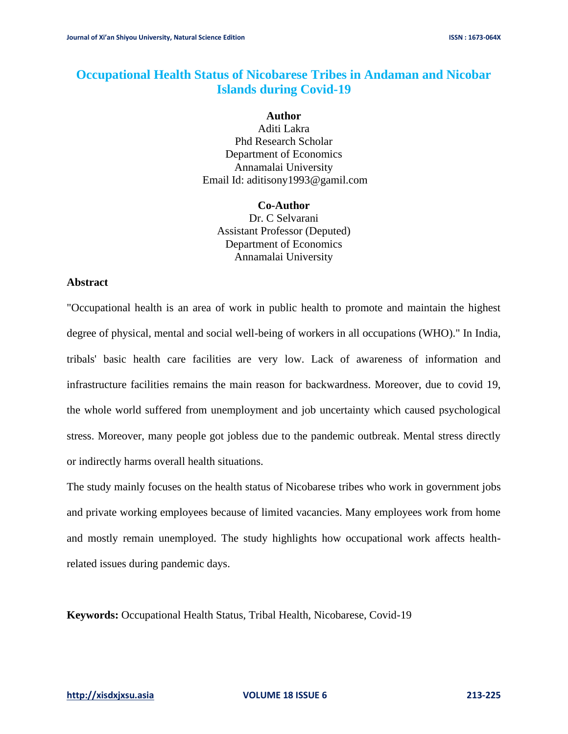# **Occupational Health Status of Nicobarese Tribes in Andaman and Nicobar Islands during Covid-19**

#### **Author**

Aditi Lakra Phd Research Scholar Department of Economics Annamalai University Email Id: aditisony1993@gamil.com

**Co-Author**  Dr. C Selvarani Assistant Professor (Deputed) Department of Economics Annamalai University

### **Abstract**

"Occupational health is an area of work in public health to promote and maintain the highest degree of physical, mental and social well-being of workers in all occupations (WHO)." In India, tribals' basic health care facilities are very low. Lack of awareness of information and infrastructure facilities remains the main reason for backwardness. Moreover, due to covid 19, the whole world suffered from unemployment and job uncertainty which caused psychological stress. Moreover, many people got jobless due to the pandemic outbreak. Mental stress directly or indirectly harms overall health situations.

The study mainly focuses on the health status of Nicobarese tribes who work in government jobs and private working employees because of limited vacancies. Many employees work from home and mostly remain unemployed. The study highlights how occupational work affects healthrelated issues during pandemic days.

**Keywords:** Occupational Health Status, Tribal Health, Nicobarese, Covid-19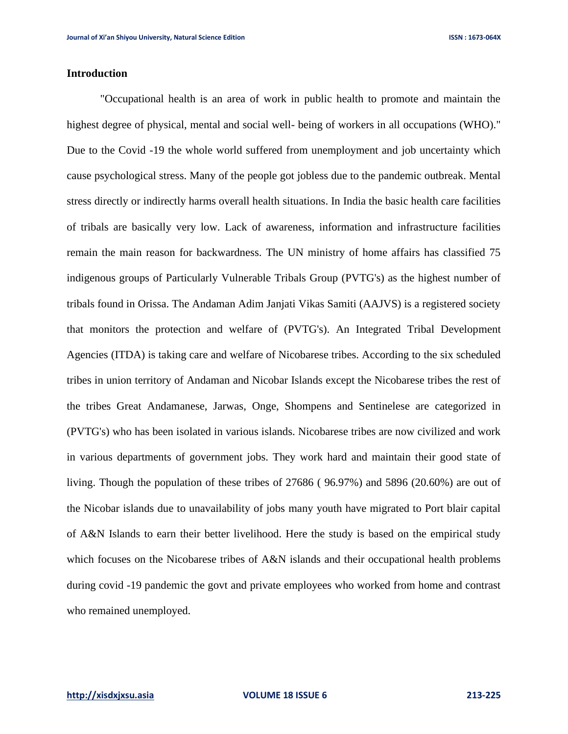# **Introduction**

"Occupational health is an area of work in public health to promote and maintain the highest degree of physical, mental and social well- being of workers in all occupations (WHO)." Due to the Covid -19 the whole world suffered from unemployment and job uncertainty which cause psychological stress. Many of the people got jobless due to the pandemic outbreak. Mental stress directly or indirectly harms overall health situations. In India the basic health care facilities of tribals are basically very low. Lack of awareness, information and infrastructure facilities remain the main reason for backwardness. The UN ministry of home affairs has classified 75 indigenous groups of Particularly Vulnerable Tribals Group (PVTG's) as the highest number of tribals found in Orissa. The Andaman Adim Janjati Vikas Samiti (AAJVS) is a registered society that monitors the protection and welfare of (PVTG's). An Integrated Tribal Development Agencies (ITDA) is taking care and welfare of Nicobarese tribes. According to the six scheduled tribes in union territory of Andaman and Nicobar Islands except the Nicobarese tribes the rest of the tribes Great Andamanese, Jarwas, Onge, Shompens and Sentinelese are categorized in (PVTG's) who has been isolated in various islands. Nicobarese tribes are now civilized and work in various departments of government jobs. They work hard and maintain their good state of living. Though the population of these tribes of 27686 ( 96.97%) and 5896 (20.60%) are out of the Nicobar islands due to unavailability of jobs many youth have migrated to Port blair capital of A&N Islands to earn their better livelihood. Here the study is based on the empirical study which focuses on the Nicobarese tribes of A&N islands and their occupational health problems during covid -19 pandemic the govt and private employees who worked from home and contrast who remained unemployed.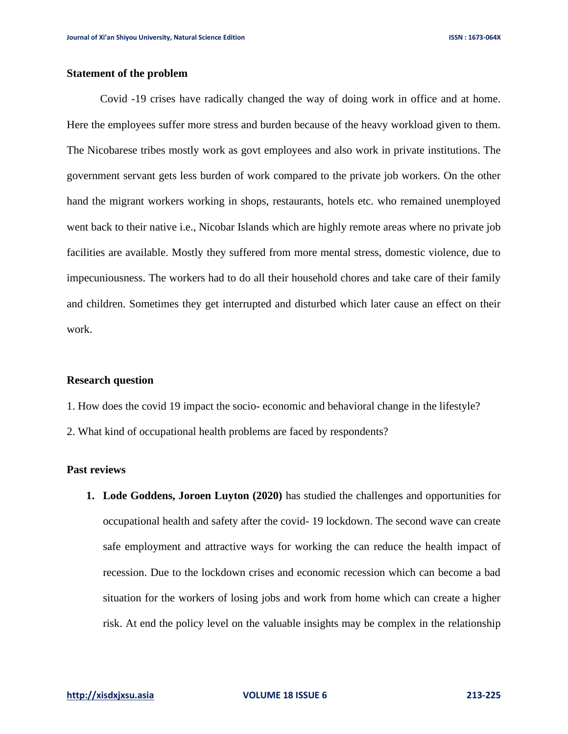# **Statement of the problem**

Covid -19 crises have radically changed the way of doing work in office and at home. Here the employees suffer more stress and burden because of the heavy workload given to them. The Nicobarese tribes mostly work as govt employees and also work in private institutions. The government servant gets less burden of work compared to the private job workers. On the other hand the migrant workers working in shops, restaurants, hotels etc. who remained unemployed went back to their native i.e., Nicobar Islands which are highly remote areas where no private job facilities are available. Mostly they suffered from more mental stress, domestic violence, due to impecuniousness. The workers had to do all their household chores and take care of their family and children. Sometimes they get interrupted and disturbed which later cause an effect on their work.

#### **Research question**

- 1. How does the covid 19 impact the socio- economic and behavioral change in the lifestyle?
- 2. What kind of occupational health problems are faced by respondents?

#### **Past reviews**

**1. Lode Goddens, Joroen Luyton (2020)** has studied the challenges and opportunities for occupational health and safety after the covid- 19 lockdown. The second wave can create safe employment and attractive ways for working the can reduce the health impact of recession. Due to the lockdown crises and economic recession which can become a bad situation for the workers of losing jobs and work from home which can create a higher risk. At end the policy level on the valuable insights may be complex in the relationship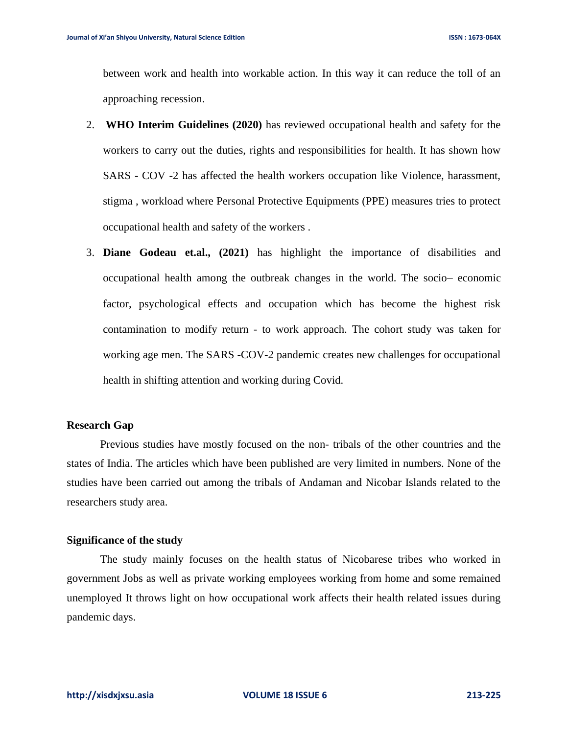between work and health into workable action. In this way it can reduce the toll of an approaching recession.

- 2. **WHO Interim Guidelines (2020)** has reviewed occupational health and safety for the workers to carry out the duties, rights and responsibilities for health. It has shown how SARS - COV -2 has affected the health workers occupation like Violence, harassment, stigma , workload where Personal Protective Equipments (PPE) measures tries to protect occupational health and safety of the workers .
- 3. **Diane Godeau et.al., (2021)** has highlight the importance of disabilities and occupational health among the outbreak changes in the world. The socio– economic factor, psychological effects and occupation which has become the highest risk contamination to modify return - to work approach. The cohort study was taken for working age men. The SARS -COV-2 pandemic creates new challenges for occupational health in shifting attention and working during Covid.

#### **Research Gap**

Previous studies have mostly focused on the non- tribals of the other countries and the states of India. The articles which have been published are very limited in numbers. None of the studies have been carried out among the tribals of Andaman and Nicobar Islands related to the researchers study area.

### **Significance of the study**

The study mainly focuses on the health status of Nicobarese tribes who worked in government Jobs as well as private working employees working from home and some remained unemployed It throws light on how occupational work affects their health related issues during pandemic days.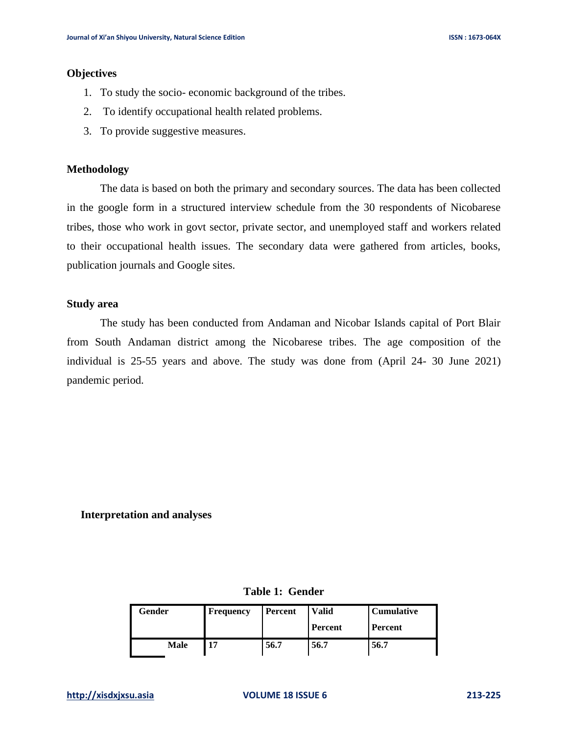### **Objectives**

- 1. To study the socio- economic background of the tribes.
- 2. To identify occupational health related problems.
- 3. To provide suggestive measures.

#### **Methodology**

The data is based on both the primary and secondary sources. The data has been collected in the google form in a structured interview schedule from the 30 respondents of Nicobarese tribes, those who work in govt sector, private sector, and unemployed staff and workers related to their occupational health issues. The secondary data were gathered from articles, books, publication journals and Google sites.

### **Study area**

The study has been conducted from Andaman and Nicobar Islands capital of Port Blair from South Andaman district among the Nicobarese tribes. The age composition of the individual is 25-55 years and above. The study was done from (April 24- 30 June 2021) pandemic period.

### **Interpretation and analyses**

|  | Table 1: Gender |
|--|-----------------|
|  |                 |

| Gender | <b>Frequency</b> | Percent | <b>Valid</b> | <b>Cumulative</b> |
|--------|------------------|---------|--------------|-------------------|
|        |                  |         | Percent      | Percent           |
| Male   | 17               | 56.7    | 56.7         | 56.7              |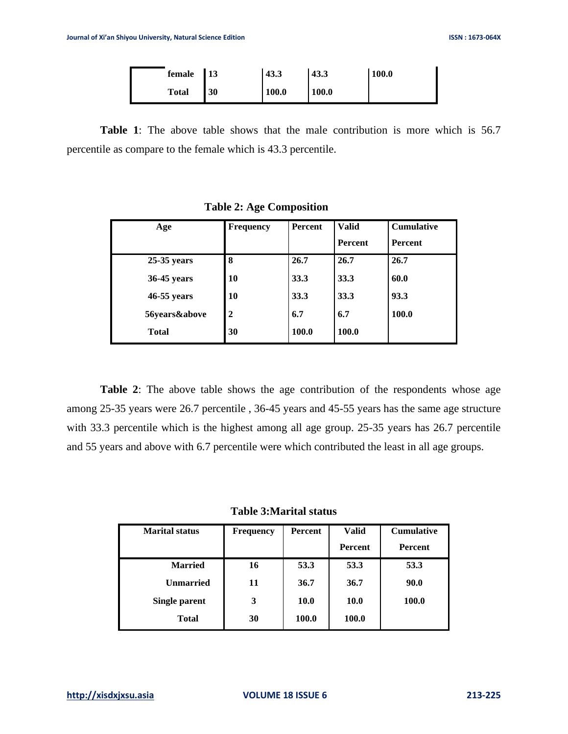| female       | $\vert$ 13 | 43.3         | 43.3  | <b>100.0</b> |
|--------------|------------|--------------|-------|--------------|
| <b>Total</b> | <b>130</b> | <b>100.0</b> | 100.0 |              |

**Table 1**: The above table shows that the male contribution is more which is 56.7 percentile as compare to the female which is 43.3 percentile.

| Age           | <b>Frequency</b> | Percent | <b>Valid</b><br>Percent | <b>Cumulative</b><br>Percent |
|---------------|------------------|---------|-------------------------|------------------------------|
| $25-35$ years | 8                | 26.7    | 26.7                    | 26.7                         |
| 36-45 years   | 10               | 33.3    | 33.3                    | 60.0                         |
| 46-55 years   | 10               | 33.3    | 33.3                    | 93.3                         |
| 56years&above | $\mathbf{2}$     | 6.7     | 6.7                     | 100.0                        |
| <b>Total</b>  | 30               | 100.0   | 100.0                   |                              |

 **Table 2: Age Composition** 

**Table 2**: The above table shows the age contribution of the respondents whose age among 25-35 years were 26.7 percentile , 36-45 years and 45-55 years has the same age structure with 33.3 percentile which is the highest among all age group. 25-35 years has 26.7 percentile and 55 years and above with 6.7 percentile were which contributed the least in all age groups.

**Table 3:Marital status**

| <b>Marital status</b> | <b>Frequency</b> | Percent     | <b>Valid</b>   | <b>Cumulative</b> |
|-----------------------|------------------|-------------|----------------|-------------------|
|                       |                  |             | <b>Percent</b> | Percent           |
| <b>Married</b>        | 16               | 53.3        | 53.3           | 53.3              |
| <b>Unmarried</b>      | 11               | 36.7        | 36.7           | 90.0              |
| <b>Single parent</b>  | 3                | <b>10.0</b> | <b>10.0</b>    | 100.0             |
| <b>Total</b>          | 30               | 100.0       | 100.0          |                   |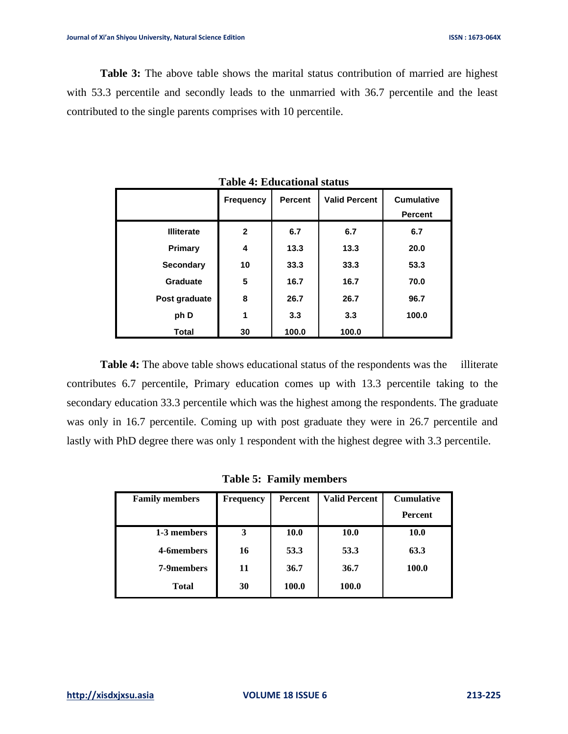**Table 3:** The above table shows the marital status contribution of married are highest with 53.3 percentile and secondly leads to the unmarried with 36.7 percentile and the least contributed to the single parents comprises with 10 percentile.

|                   | <b>Frequency</b> | <b>Percent</b> | <b>Valid Percent</b> | <b>Cumulative</b><br><b>Percent</b> |
|-------------------|------------------|----------------|----------------------|-------------------------------------|
| <b>Illiterate</b> | $\mathbf{2}$     | 6.7            | 6.7                  | 6.7                                 |
| Primary           | 4                | 13.3           | 13.3                 | 20.0                                |
| <b>Secondary</b>  | 10               | 33.3           | 33.3                 | 53.3                                |
| Graduate          | 5                | 16.7           | 16.7                 | 70.0                                |
| Post graduate     | 8                | 26.7           | 26.7                 | 96.7                                |
| ph D              | 1                | 3.3            | 3.3                  | 100.0                               |
| <b>Total</b>      | 30               | 100.0          | 100.0                |                                     |

**Table 4: Educational status**

**Table 4:** The above table shows educational status of the respondents was the illiterate contributes 6.7 percentile, Primary education comes up with 13.3 percentile taking to the secondary education 33.3 percentile which was the highest among the respondents. The graduate was only in 16.7 percentile. Coming up with post graduate they were in 26.7 percentile and lastly with PhD degree there was only 1 respondent with the highest degree with 3.3 percentile.

 **Table 5: Family members**

| <b>Family members</b> | <b>Frequency</b> | <b>Percent</b> | <b>Valid Percent</b> | <b>Cumulative</b> |
|-----------------------|------------------|----------------|----------------------|-------------------|
|                       |                  |                |                      | Percent           |
| 1-3 members           | 3                | 10.0           | 10.0                 | 10.0              |
| 4-6members            | 16               | 53.3           | 53.3                 | 63.3              |
| 7-9members            | 11               | 36.7           | 36.7                 | 100.0             |
| <b>Total</b>          | 30               | 100.0          | 100.0                |                   |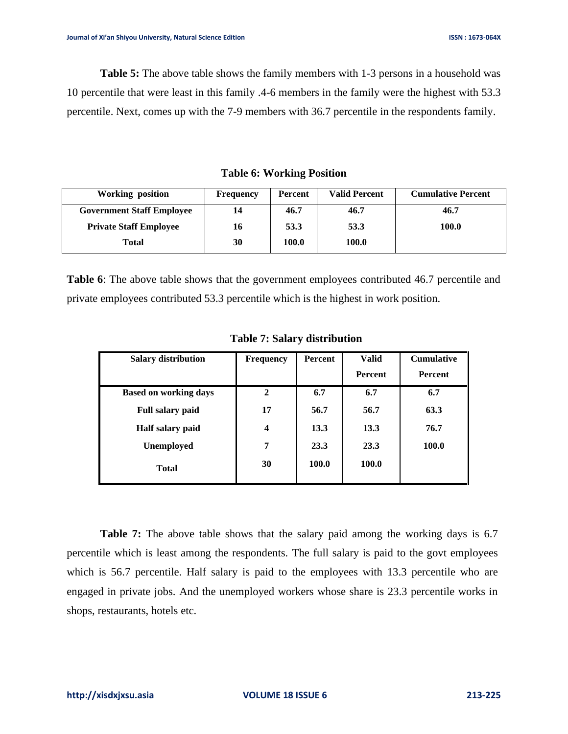**Table 5:** The above table shows the family members with 1-3 persons in a household was 10 percentile that were least in this family .4-6 members in the family were the highest with 53.3 percentile. Next, comes up with the 7-9 members with 36.7 percentile in the respondents family.

**Table 6: Working Position**

| <b>Working position</b>          | Frequency | Percent | <b>Valid Percent</b> | <b>Cumulative Percent</b> |
|----------------------------------|-----------|---------|----------------------|---------------------------|
| <b>Government Staff Employee</b> |           | 46.7    | 46.7                 | 46.7                      |
| <b>Private Staff Employee</b>    | 16        | 53.3    | 53.3                 | 100.0                     |
| Total                            | 30        | 100.0   | 100.0                |                           |

**Table 6**: The above table shows that the government employees contributed 46.7 percentile and private employees contributed 53.3 percentile which is the highest in work position.

| <b>Salary distribution</b>   | <b>Frequency</b>        | Percent | <b>Valid</b>   | <b>Cumulative</b> |
|------------------------------|-------------------------|---------|----------------|-------------------|
|                              |                         |         | <b>Percent</b> | <b>Percent</b>    |
| <b>Based on working days</b> | $\mathbf{2}$            | 6.7     | 6.7            | 6.7               |
| <b>Full salary paid</b>      | 17                      | 56.7    | 56.7           | 63.3              |
| Half salary paid             | $\overline{\mathbf{4}}$ | 13.3    | 13.3           | 76.7              |
| <b>Unemployed</b>            | 7                       | 23.3    | 23.3           | 100.0             |
| <b>Total</b>                 | 30                      | 100.0   | 100.0          |                   |

 **Table 7: Salary distribution**

**Table 7:** The above table shows that the salary paid among the working days is 6.7 percentile which is least among the respondents. The full salary is paid to the govt employees which is 56.7 percentile. Half salary is paid to the employees with 13.3 percentile who are engaged in private jobs. And the unemployed workers whose share is 23.3 percentile works in shops, restaurants, hotels etc.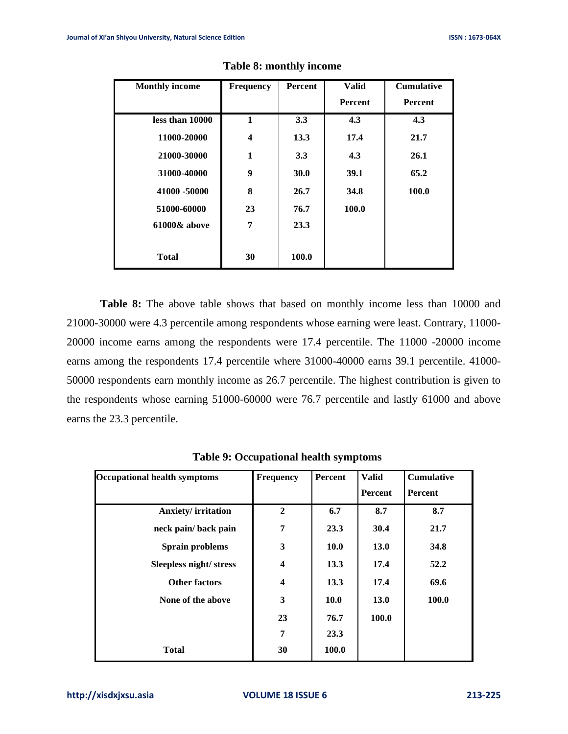| <b>Monthly income</b> | <b>Frequency</b> | <b>Percent</b> | <b>Valid</b>   | <b>Cumulative</b> |
|-----------------------|------------------|----------------|----------------|-------------------|
|                       |                  |                | <b>Percent</b> | Percent           |
| less than 10000       | 1                | 3.3            | 4.3            | 4.3               |
| 11000-20000           | 4                | 13.3           | 17.4           | 21.7              |
| 21000-30000           | $\mathbf{1}$     | 3.3            | 4.3            | 26.1              |
| 31000-40000           | 9                | 30.0           | 39.1           | 65.2              |
| 41000 -50000          | 8                | 26.7           | 34.8           | 100.0             |
| 51000-60000           | 23               | 76.7           | 100.0          |                   |
| 61000& above          | 7                | 23.3           |                |                   |
|                       |                  |                |                |                   |
| <b>Total</b>          | 30               | 100.0          |                |                   |

# **Table 8: monthly income**

**Table 8:** The above table shows that based on monthly income less than 10000 and 21000-30000 were 4.3 percentile among respondents whose earning were least. Contrary, 11000- 20000 income earns among the respondents were 17.4 percentile. The 11000 -20000 income earns among the respondents 17.4 percentile where 31000-40000 earns 39.1 percentile. 41000- 50000 respondents earn monthly income as 26.7 percentile. The highest contribution is given to the respondents whose earning 51000-60000 were 76.7 percentile and lastly 61000 and above earns the 23.3 percentile.

| <b>Occupational health symptoms</b> | <b>Frequency</b>        | Percent     | <b>Valid</b> | <b>Cumulative</b> |
|-------------------------------------|-------------------------|-------------|--------------|-------------------|
|                                     |                         |             | Percent      | <b>Percent</b>    |
| <b>Anxiety/irritation</b>           | $\mathbf{2}$            | 6.7         | 8.7          | 8.7               |
| neck pain/ back pain                | 7                       | 23.3        | 30.4         | 21.7              |
| Sprain problems                     | 3                       | <b>10.0</b> | 13.0         | 34.8              |
| Sleepless night/ stress             | $\overline{\mathbf{4}}$ | 13.3        | 17.4         | 52.2              |
| <b>Other factors</b>                | 4                       | 13.3        | 17.4         | 69.6              |
| None of the above                   | 3                       | <b>10.0</b> | 13.0         | 100.0             |
|                                     | 23                      | 76.7        | 100.0        |                   |
|                                     | 7                       | 23.3        |              |                   |
| <b>Total</b>                        | 30                      | 100.0       |              |                   |

 **Table 9: Occupational health symptoms**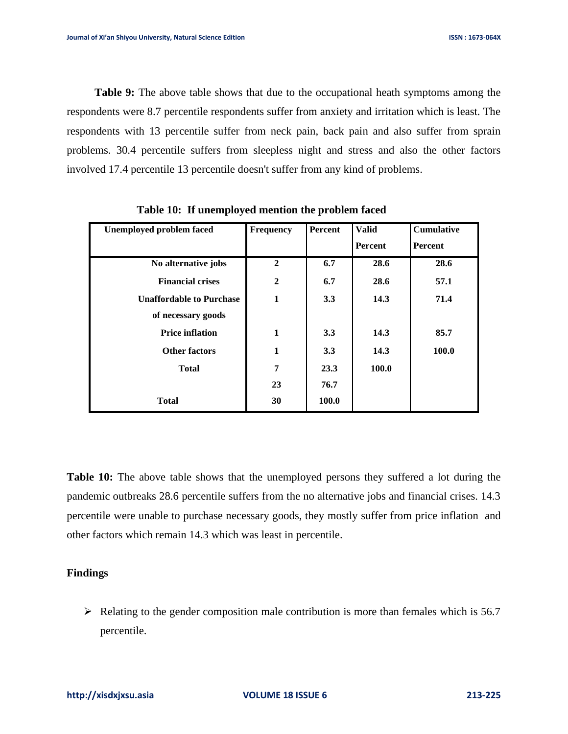**Table 9:** The above table shows that due to the occupational heath symptoms among the respondents were 8.7 percentile respondents suffer from anxiety and irritation which is least. The respondents with 13 percentile suffer from neck pain, back pain and also suffer from sprain problems. 30.4 percentile suffers from sleepless night and stress and also the other factors involved 17.4 percentile 13 percentile doesn't suffer from any kind of problems.

| <b>Unemployed problem faced</b> | <b>Frequency</b> | <b>Percent</b> | <b>Valid</b> | <b>Cumulative</b> |
|---------------------------------|------------------|----------------|--------------|-------------------|
|                                 |                  |                | Percent      | Percent           |
| No alternative jobs             | $\mathbf{2}$     | 6.7            | 28.6         | 28.6              |
| <b>Financial crises</b>         | $\boldsymbol{2}$ | 6.7            | 28.6         | 57.1              |
| <b>Unaffordable to Purchase</b> | 1                | 3.3            | 14.3         | 71.4              |
| of necessary goods              |                  |                |              |                   |
| <b>Price inflation</b>          | $\mathbf{1}$     | 3.3            | 14.3         | 85.7              |
| <b>Other factors</b>            | 1                | 3.3            | 14.3         | 100.0             |
| <b>Total</b>                    | 7                | 23.3           | 100.0        |                   |
|                                 | 23               | 76.7           |              |                   |
| Total                           | 30               | 100.0          |              |                   |

 **Table 10: If unemployed mention the problem faced**

**Table 10:** The above table shows that the unemployed persons they suffered a lot during the pandemic outbreaks 28.6 percentile suffers from the no alternative jobs and financial crises. 14.3 percentile were unable to purchase necessary goods, they mostly suffer from price inflation and other factors which remain 14.3 which was least in percentile.

# **Findings**

 $\triangleright$  Relating to the gender composition male contribution is more than females which is 56.7 percentile.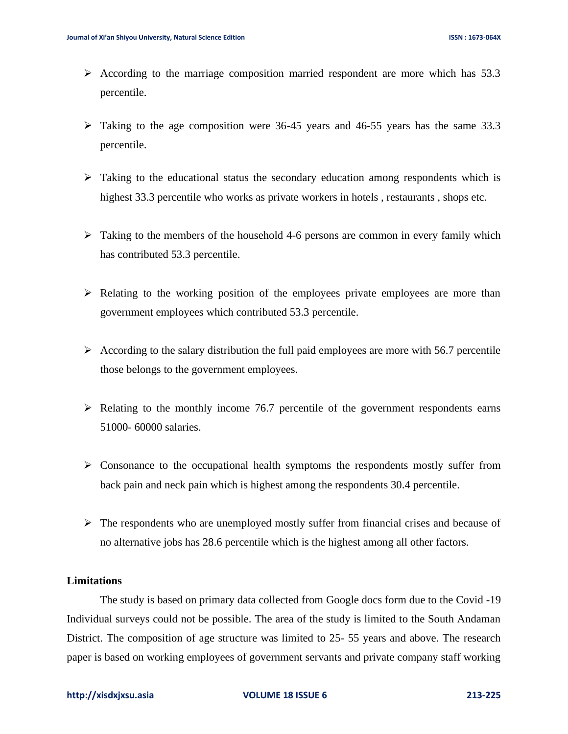- $\triangleright$  According to the marriage composition married respondent are more which has 53.3 percentile.
- ➢ Taking to the age composition were 36-45 years and 46-55 years has the same 33.3 percentile.
- $\triangleright$  Taking to the educational status the secondary education among respondents which is highest 33.3 percentile who works as private workers in hotels , restaurants , shops etc.
- $\triangleright$  Taking to the members of the household 4-6 persons are common in every family which has contributed 53.3 percentile.
- $\triangleright$  Relating to the working position of the employees private employees are more than government employees which contributed 53.3 percentile.
- $\triangleright$  According to the salary distribution the full paid employees are more with 56.7 percentile those belongs to the government employees.
- $\triangleright$  Relating to the monthly income 76.7 percentile of the government respondents earns 51000- 60000 salaries.
- ➢ Consonance to the occupational health symptoms the respondents mostly suffer from back pain and neck pain which is highest among the respondents 30.4 percentile.
- $\triangleright$  The respondents who are unemployed mostly suffer from financial crises and because of no alternative jobs has 28.6 percentile which is the highest among all other factors.

# **Limitations**

The study is based on primary data collected from Google docs form due to the Covid -19 Individual surveys could not be possible. The area of the study is limited to the South Andaman District. The composition of age structure was limited to 25- 55 years and above. The research paper is based on working employees of government servants and private company staff working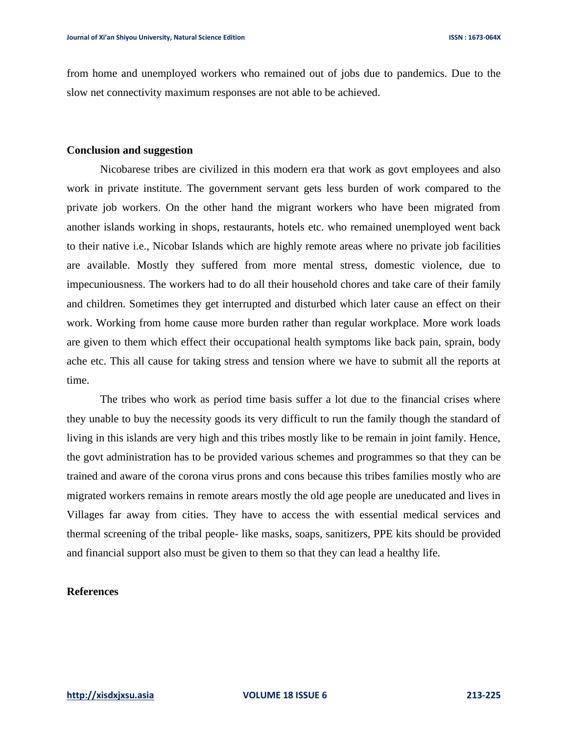from home and unemployed workers who remained out of jobs due to pandemics. Due to the slow net connectivity maximum responses are not able to be achieved.

#### **Conclusion and suggestion**

Nicobarese tribes are civilized in this modern era that work as govt employees and also work in private institute. The government servant gets less burden of work compared to the private job workers. On the other hand the migrant workers who have been migrated from another islands working in shops, restaurants, hotels etc. who remained unemployed went back to their native i.e., Nicobar Islands which are highly remote areas where no private job facilities are available. Mostly they suffered from more mental stress, domestic violence, due to impecuniousness. The workers had to do all their household chores and take care of their family and children. Sometimes they get interrupted and disturbed which later cause an effect on their work. Working from home cause more burden rather than regular workplace. More work loads are given to them which effect their occupational health symptoms like back pain, sprain, body ache etc. This all cause for taking stress and tension where we have to submit all the reports at time.

The tribes who work as period time basis suffer a lot due to the financial crises where they unable to buy the necessity goods its very difficult to run the family though the standard of living in this islands are very high and this tribes mostly like to be remain in joint family. Hence, the govt administration has to be provided various schemes and programmes so that they can be trained and aware of the corona virus prons and cons because this tribes families mostly who are migrated workers remains in remote arears mostly the old age people are uneducated and lives in Villages far away from cities. They have to access the with essential medical services and thermal screening of the tribal people- like masks, soaps, sanitizers, PPE kits should be provided and financial support also must be given to them so that they can lead a healthy life.

# **References**